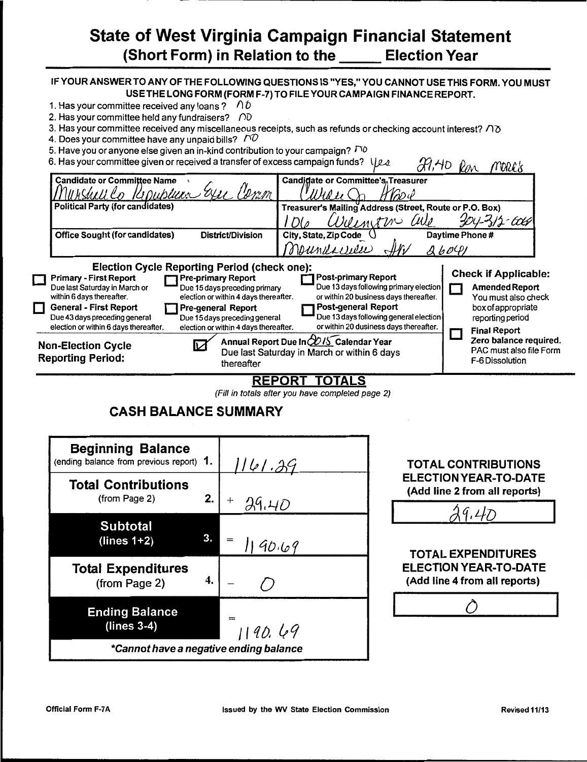# State of West Virginia Campaign Financial Statement (Short Form) in Relation to the Election Year

### IF YOUR ANSWER TO ANY OF THE FOLLOWING QUESTIONS IS "YES," YOU CANNOT USE THIS FORM. YOU MUST USE THE LONG FORM (FORM F-7) TO FILE YOUR CAMPAIGN FINANCE REPORT.

- 1. Has your committee received any loans ?  $\bigwedge^2 D$
- 2. Has your committee held any fundraisers?  $\bigcap$
- 3. Has your committee received any miscellaneous receipts, such as refunds or checking account interest? *no*
- 4. Does your committee have any unpaid bills?  $\bigcap$
- 5. Have you or anyone else given an in-kind contribution to your campaign?  $\sqrt{2}$

|               | o. Have you or anyone cloc given an in-king continuation to your campaign :<br>6. Has your committee given or received a transfer of excess campaign funds? $\bigcup_{\mathcal{A}}$                                                                                                                                                                                                                                                                                                                                                         | $49.40$ Ren                                                                                                                                                                                                                                                                                                         |      | mark's                                                                                                                                                                                                               |  |
|---------------|---------------------------------------------------------------------------------------------------------------------------------------------------------------------------------------------------------------------------------------------------------------------------------------------------------------------------------------------------------------------------------------------------------------------------------------------------------------------------------------------------------------------------------------------|---------------------------------------------------------------------------------------------------------------------------------------------------------------------------------------------------------------------------------------------------------------------------------------------------------------------|------|----------------------------------------------------------------------------------------------------------------------------------------------------------------------------------------------------------------------|--|
|               | <b>Candidate or Committee Name</b><br>publice: Exi                                                                                                                                                                                                                                                                                                                                                                                                                                                                                          | <b>Candidate or Committee's Treasurer</b>                                                                                                                                                                                                                                                                           |      |                                                                                                                                                                                                                      |  |
|               | <b>Political Party (for candidates)</b>                                                                                                                                                                                                                                                                                                                                                                                                                                                                                                     | Treasurer's Mailing Address (Street, Route or P.O. Box)                                                                                                                                                                                                                                                             |      |                                                                                                                                                                                                                      |  |
|               |                                                                                                                                                                                                                                                                                                                                                                                                                                                                                                                                             | Dilinition<br>WI                                                                                                                                                                                                                                                                                                    |      | $304 - 312 - 606$                                                                                                                                                                                                    |  |
|               | District/Division<br><b>Office Sought (for candidates)</b>                                                                                                                                                                                                                                                                                                                                                                                                                                                                                  | Daytime Phone #<br>City, State, Zip Code (                                                                                                                                                                                                                                                                          |      |                                                                                                                                                                                                                      |  |
|               |                                                                                                                                                                                                                                                                                                                                                                                                                                                                                                                                             | Maundarrier                                                                                                                                                                                                                                                                                                         | Ab0Q |                                                                                                                                                                                                                      |  |
| $\Box$<br>l l | <b>Election Cycle Reporting Period (check one):</b><br><b>Pre-primary Report</b><br><b>Primary - First Report</b><br>Due 15 days preceding primary<br>Due last Saturday in March or<br>election or within 4 days thereafter.<br>within 6 days thereafter.<br><b>General - First Report</b><br>Pre-general Report<br>Due 43 days preceding general<br>Due 15 days preceding general<br>election or within 6 days thereafter.<br>election or within 4 days thereafter.<br><b>Non-Election Cycle</b><br><b>Reporting Period:</b><br>thereafter | <b>Post-primary Report</b><br>Due 13 days following primary election<br>or within 20 business days thereafter.<br>Post-general Report<br>Due 13 days following general election<br>or within 20 dusiness days thereafter.<br>Annual Report Due In 2015 Calendar Year<br>Due last Saturday in March or within 6 days |      | <b>Check if Applicable:</b><br><b>Amended Report</b><br>You must also check<br>box of appropriate<br>reporting period<br><b>Final Report</b><br>Zero balance required.<br>PAC must also file Form<br>F-6 Dissolution |  |
|               |                                                                                                                                                                                                                                                                                                                                                                                                                                                                                                                                             | _____                                                                                                                                                                                                                                                                                                               |      |                                                                                                                                                                                                                      |  |

## REPORT TOTALS

(Fill in totals after you have completed page 2)

# CASH BALANCE SUMMARY

| <b>Beginning Balance</b><br>(ending balance from previous report) 1. |              | 1141.39      |
|----------------------------------------------------------------------|--------------|--------------|
| <b>Total Contributions</b><br>(from Page 2)                          | 2.           | $+$<br>29.40 |
| <b>Subtotal</b><br>$(lines 1+2)$                                     | $\mathbf{3}$ | 1190.69      |
| <b>Total Expenditures</b><br>(from Page 2)                           | 4.           |              |
| <b>Ending Balance</b><br>$(lines 3-4)$                               |              | 1190.69      |
| *Cannot have a negative ending balance                               |              |              |

# TOTAL CONTRIBUTIONS ELECTION YEAR-TO-DATE (Add line 2 from all reports)

 $9,47$ 

TOTAL EXPENDITURES ELECTION YEAR-TO-DATE (Add line 4 from all reports)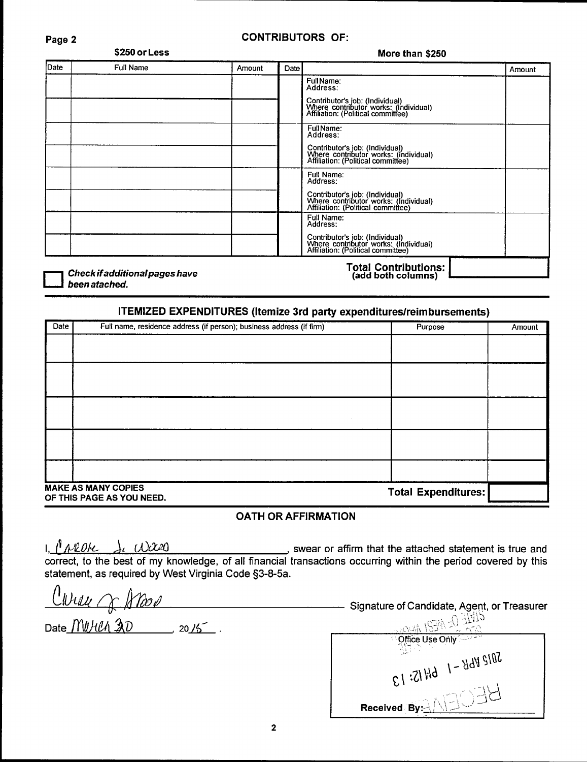## Page 2 CONTRIBUTORS OF:

| \$250 or Less                  |           |        | More than \$250 |                                                                                                                                          |        |
|--------------------------------|-----------|--------|-----------------|------------------------------------------------------------------------------------------------------------------------------------------|--------|
| Date                           | Full Name | Amount | Date            |                                                                                                                                          | Amount |
|                                |           |        |                 | Full Name:<br>Address:<br>Contributor's job: (Individual)<br>Where contributor works: (Individual)<br>Affiliation: (Political committee) |        |
|                                |           |        |                 | Full Name:<br>Address:<br>Contributor's job: (Individual)<br>Where contributor works: (Individual)<br>Affiliation: (Political committee) |        |
|                                |           |        |                 | Full Name:<br>Address:<br>Contributor's job: (Individual)<br>Where contributor works: (Individual)<br>Affiliation: (Political committee) |        |
|                                |           |        |                 | Full Name:<br>Address:<br>Contributor's job: (Individual)<br>Where contributor works: (Individual)<br>Affiliation: (Political committee) |        |
| Check if additional pages have |           |        |                 | Total Contributions:<br>(add both columns)                                                                                               |        |

Check if additional pages have<br>been atached.

# ITEMIZED EXPENDITURES {Itemize 3rd party expenditures/reimbursements)

| Date | Full name, residence address (if person); business address (if firm) | Purpose                    | Amount |
|------|----------------------------------------------------------------------|----------------------------|--------|
|      |                                                                      |                            |        |
|      |                                                                      |                            |        |
|      |                                                                      |                            |        |
|      |                                                                      |                            |        |
|      |                                                                      |                            |        |
|      |                                                                      |                            |        |
|      |                                                                      |                            |        |
|      |                                                                      |                            |        |
|      |                                                                      |                            |        |
|      | <b>MAKE AS MANY COPIES</b><br>OF THIS PAGE AS YOU NEED.              | <b>Total Expenditures:</b> |        |

## OATH OR AFFIRMATION

I,  $\ell$  *AVLOI* $\ell$   $\rightarrow$  ,  $\ell$   $\ell$   $\ell$   $\ell$   $\ell$  ,  $\ell$  ,  $\ell$  ,  $\ell$  ,  $\ell$  , swear or affirm that the attached statement is true and correct, to the best of my knowledge, of all financial transactions occurring within the period covered by this statement, as required by West Virginia Code §3-8-5a.

~llJL/L!{ q; */rrtVe*  Signature of Candidate, Agent. or Treasurer

Date *<u>MUHLA 20</u> 2015*.

 $e^{\lambda t}$  $c_1:$ 21 Hd  $1 - 8$ d $y$  stnd<br> $c_1:$ 21 Hd  $1 - 8$ d $y$  stnd  $\begin{array}{r} \begin{array}{c} \text{Recolved (By:)} \\ \hline \end{array} \end{array}$